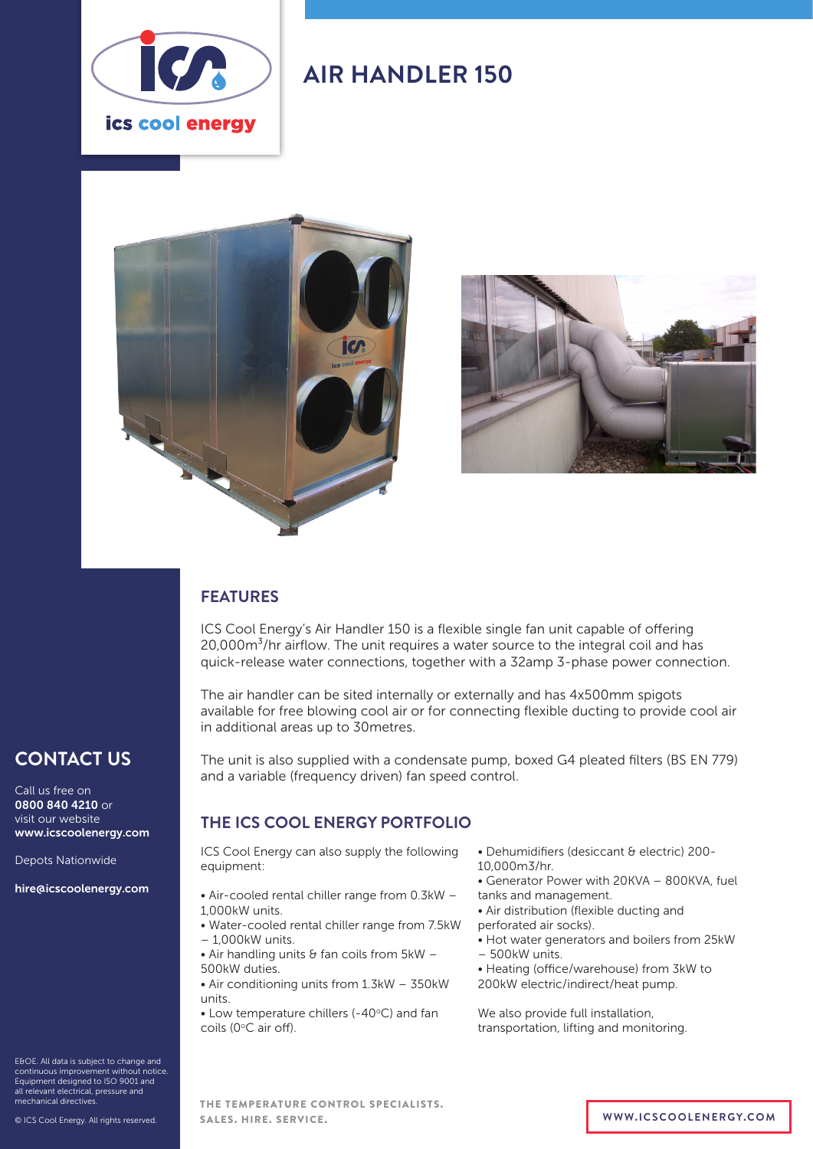

## **AIR HANDLER 150**





### **FEATURES**

ICS Cool Energy's Air Handler 150 is a flexible single fan unit capable of offering 20,000m<sup>3</sup>/hr airflow. The unit requires a water source to the integral coil and has quick-release water connections, together with a 32amp 3-phase power connection.

The air handler can be sited internally or externally and has 4x500mm spigots available for free blowing cool air or for connecting flexible ducting to provide cool air in additional areas up to 30metres.

The unit is also supplied with a condensate pump, boxed G4 pleated filters (BS EN 779) and a variable (frequency driven) fan speed control.

### **THE ICS COOL ENERGY PORTFOLIO**

ICS Cool Energy can also supply the following equipment:

- Air-cooled rental chiller range from 0.3kW 1,000kW units.
- Water-cooled rental chiller range from 7.5kW – 1,000kW units.
- Air handling units  $\theta$  fan coils from  $5kW -$ 500kW duties.
- Air conditioning units from 1.3kW 350kW units.

 $\bullet$  Low temperature chillers (-40 $\degree$ C) and fan coils (0°C air off).

- Dehumidifiers (desiccant & electric) 200- 10,000m3/hr.
- Generator Power with 20KVA 800KVA, fuel
- tanks and management. • Air distribution (flexible ducting and
- perforated air socks).
- Hot water generators and boilers from 25kW – 500kW units.
- Heating (office/warehouse) from 3kW to 200kW electric/indirect/heat pump.

We also provide full installation, transportation, lifting and monitoring.

E&OE. All data is subject to change and continuous improvement without notice. Equipment designed to ISO 9001 and all relevant electrical, pressure and mechanical directives.

**CONTACT US**

www.icscoolenergy.com

hire@icscoolenergy.com

Depots Nationwide

Call us free on 0800 840 4210 or visit our website

© ICS Cool Energy. All rights reserved.

THE TEMPERATURE CONTROL SPECIALISTS. SALES. HIRE. SERVICE. **WWW.ICSCOOLENERGY.COM**